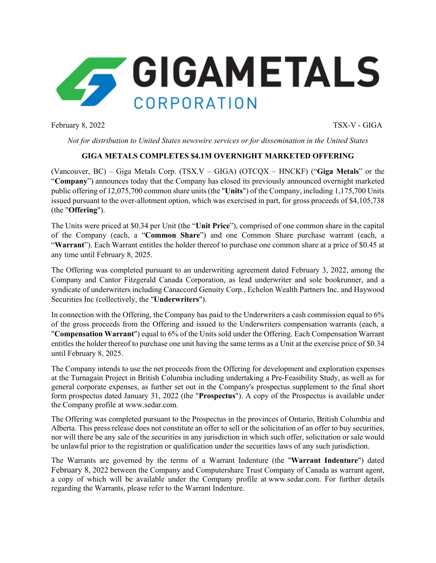

February 8, 2022 TSX-V - GIGA

*Not for distribution to United States newswire services or for dissemination in the United States*

# **GIGA METALS COMPLETES \$4.1M OVERNIGHT MARKETED OFFERING**

(Vancouver, BC) – Giga Metals Corp. (TSX.V – GIGA) (OTCQX – HNCKF) ("**Giga Metals**" or the "**Company**") announces today that the Company has closed its previously announced overnight marketed public offering of 12,075,700 common share units (the "**Units**") of the Company, including 1,175,700 Units issued pursuant to the over-allotment option, which was exercised in part, for gross proceeds of \$4,105,738 (the "**Offering**").

The Units were priced at \$0.34 per Unit (the "**Unit Price**"), comprised of one common share in the capital of the Company (each, a "**Common Share**") and one Common Share purchase warrant (each, a "**Warrant**"). Each Warrant entitles the holder thereof to purchase one common share at a price of \$0.45 at any time until February 8, 2025.

The Offering was completed pursuant to an underwriting agreement dated February 3, 2022, among the Company and Cantor Fitzgerald Canada Corporation, as lead underwriter and sole bookrunner, and a syndicate of underwriters including Canaccord Genuity Corp., Echelon Wealth Partners Inc. and Haywood Securities Inc (collectively, the "**Underwriters**").

In connection with the Offering, the Company has paid to the Underwriters a cash commission equal to 6% of the gross proceeds from the Offering and issued to the Underwriters compensation warrants (each, a "**Compensation Warrant**") equal to 6% of the Units sold under the Offering. Each Compensation Warrant entitles the holder thereof to purchase one unit having the same terms as a Unit at the exercise price of \$0.34 until February 8, 2025.

The Company intends to use the net proceeds from the Offering for development and exploration expenses at the Turnagain Project in British Columbia including undertaking a Pre-Feasibility Study, as well as for general corporate expenses, as further set out in the Company's prospectus supplement to the final short form prospectus dated January 31, 2022 (the "**Prospectus**"). A copy of the Prospectus is available under the Company profile at www.sedar.com.

The Offering was completed pursuant to the Prospectus in the provinces of Ontario, British Columbia and Alberta. This press release does not constitute an offer to sell or the solicitation of an offer to buy securities, nor will there be any sale of the securities in any jurisdiction in which such offer, solicitation or sale would be unlawful prior to the registration or qualification under the securities laws of any such jurisdiction.

The Warrants are governed by the terms of a Warrant Indenture (the "**Warrant Indenture**") dated February 8, 2022 between the Company and Computershare Trust Company of Canada as warrant agent, a copy of which will be available under the Company profile at www.sedar.com. For further details regarding the Warrants, please refer to the Warrant Indenture.